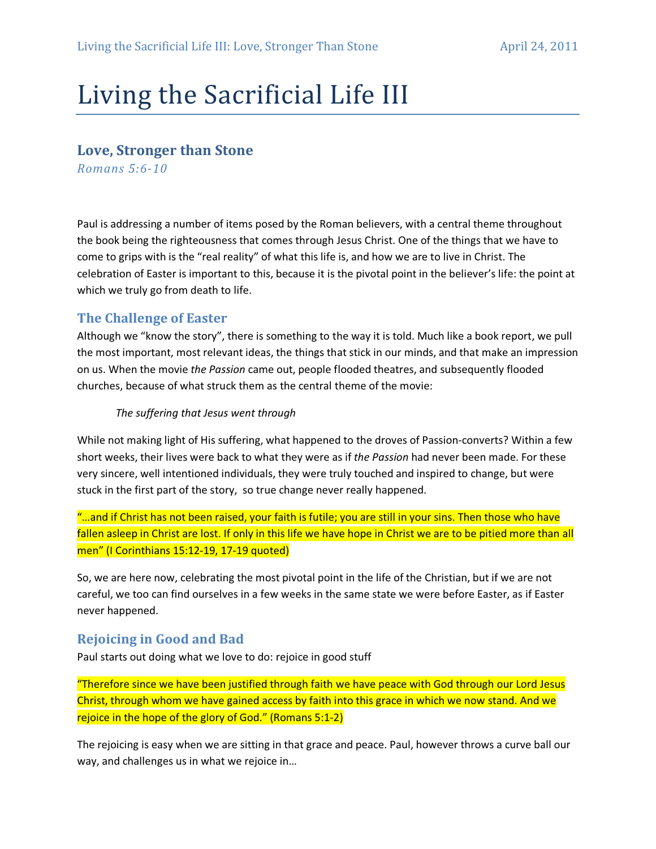# Living the Sacrificial Life III

## Love, Stronger than Stone

Romans 5:6-10

Paul is addressing a number of items posed by the Roman believers, with a central theme throughout the book being the righteousness that comes through Jesus Christ. One of the things that we have to come to grips with is the "real reality" of what this life is, and how we are to live in Christ. The celebration of Easter is important to this, because it is the pivotal point in the believer's life: the point at which we truly go from death to life.

## The Challenge of Easter

Although we "know the story", there is something to the way it is told. Much like a book report, we pull the most important, most relevant ideas, the things that stick in our minds, and that make an impression on us. When the movie the Passion came out, people flooded theatres, and subsequently flooded churches, because of what struck them as the central theme of the movie:

#### The suffering that Jesus went through

While not making light of His suffering, what happened to the droves of Passion-converts? Within a few short weeks, their lives were back to what they were as if the Passion had never been made. For these very sincere, well intentioned individuals, they were truly touched and inspired to change, but were stuck in the first part of the story, so true change never really happened.

"…and if Christ has not been raised, your faith is futile; you are still in your sins. Then those who have fallen asleep in Christ are lost. If only in this life we have hope in Christ we are to be pitied more than all men" (I Corinthians 15:12-19, 17-19 quoted)

So, we are here now, celebrating the most pivotal point in the life of the Christian, but if we are not careful, we too can find ourselves in a few weeks in the same state we were before Easter, as if Easter never happened.

## Rejoicing in Good and Bad

Paul starts out doing what we love to do: rejoice in good stuff

"Therefore since we have been justified through faith we have peace with God through our Lord Jesus Christ, through whom we have gained access by faith into this grace in which we now stand. And we rejoice in the hope of the glory of God." (Romans 5:1-2)

The rejoicing is easy when we are sitting in that grace and peace. Paul, however throws a curve ball our way, and challenges us in what we rejoice in…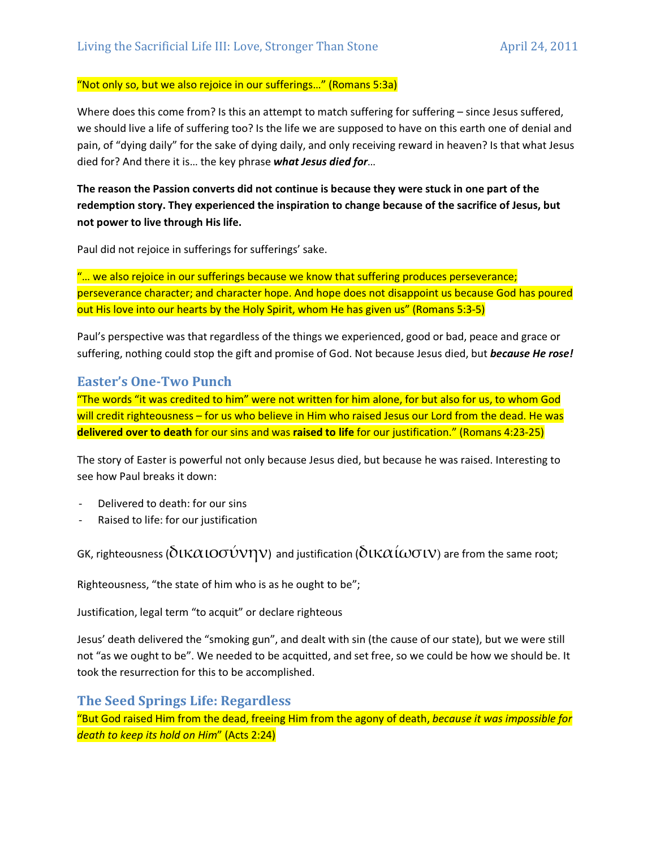#### "Not only so, but we also rejoice in our sufferings…" (Romans 5:3a)

Where does this come from? Is this an attempt to match suffering for suffering – since Jesus suffered, we should live a life of suffering too? Is the life we are supposed to have on this earth one of denial and pain, of "dying daily" for the sake of dying daily, and only receiving reward in heaven? Is that what Jesus died for? And there it is... the key phrase what Jesus died for...

The reason the Passion converts did not continue is because they were stuck in one part of the redemption story. They experienced the inspiration to change because of the sacrifice of Jesus, but not power to live through His life.

Paul did not rejoice in sufferings for sufferings' sake.

"... we also rejoice in our sufferings because we know that suffering produces perseverance; perseverance character; and character hope. And hope does not disappoint us because God has poured out His love into our hearts by the Holy Spirit, whom He has given us" (Romans 5:3-5)

Paul's perspective was that regardless of the things we experienced, good or bad, peace and grace or suffering, nothing could stop the gift and promise of God. Not because Jesus died, but because He rose!

## Easter's One-Two Punch

"The words "it was credited to him" were not written for him alone, for but also for us, to whom God will credit righteousness – for us who believe in Him who raised Jesus our Lord from the dead. He was delivered over to death for our sins and was raised to life for our justification." (Romans 4:23-25)

The story of Easter is powerful not only because Jesus died, but because he was raised. Interesting to see how Paul breaks it down:

- Delivered to death: for our sins
- Raised to life: for our justification

GK, righteousness ( $\delta$ ιΚ $\alpha$ ιοσύνην) and justification ( $\delta$ ιΚ $\alpha$ ί $\omega$ σιν) are from the same root;

Righteousness, "the state of him who is as he ought to be";

Justification, legal term "to acquit" or declare righteous

Jesus' death delivered the "smoking gun", and dealt with sin (the cause of our state), but we were still not "as we ought to be". We needed to be acquitted, and set free, so we could be how we should be. It took the resurrection for this to be accomplished.

## The Seed Springs Life: Regardless

"But God raised Him from the dead, freeing Him from the agony of death, because it was impossible for death to keep its hold on Him" (Acts 2:24)